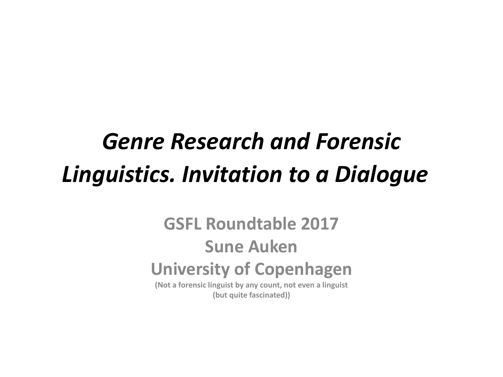## *Genre Research and Forensic Linguistics. Invitation to a Dialogue*

#### **GSFL Roundtable 2017 Sune Auken University of Copenhagen**

**(Not a forensic linguist by any count, not even a linguist (but quite fascinated))**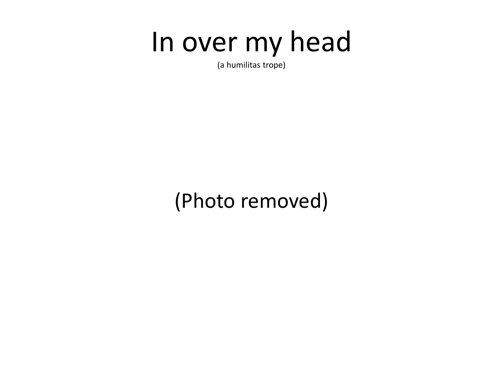## In over my head

(a humilitas trope)

### (Photo removed)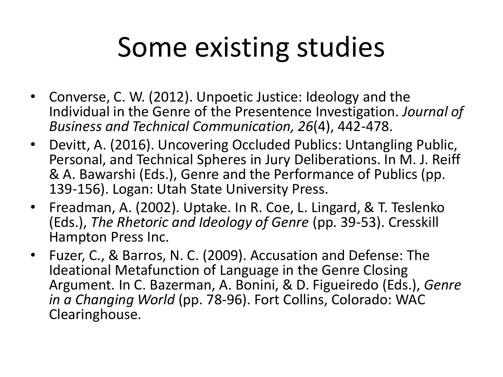## Some existing studies

- Converse, C. W. (2012). Unpoetic Justice: Ideology and the Individual in the Genre of the Presentence Investigation. *Journal of Business and Technical Communication, 26*(4), 442-478.
- Devitt, A. (2016). Uncovering Occluded Publics: Untangling Public, Personal, and Technical Spheres in Jury Deliberations. In M. J. Reiff & A. Bawarshi (Eds.), Genre and the Performance of Publics (pp. 139-156). Logan: Utah State University Press.
- Freadman, A. (2002). Uptake. In R. Coe, L. Lingard, & T. Teslenko (Eds.), *The Rhetoric and Ideology of Genre* (pp. 39-53). Cresskill Hampton Press Inc.
- Fuzer, C., & Barros, N. C. (2009). Accusation and Defense: The Ideational Metafunction of Language in the Genre Closing Argument. In C. Bazerman, A. Bonini, & D. Figueiredo (Eds.), *Genre in a Changing World* (pp. 78-96). Fort Collins, Colorado: WAC Clearinghouse.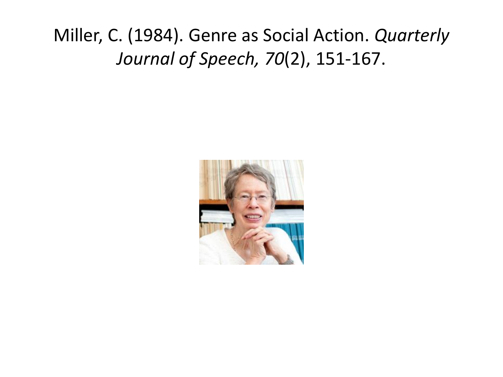#### Miller, C. (1984). Genre as Social Action. *Quarterly Journal of Speech, 70*(2), 151-167.

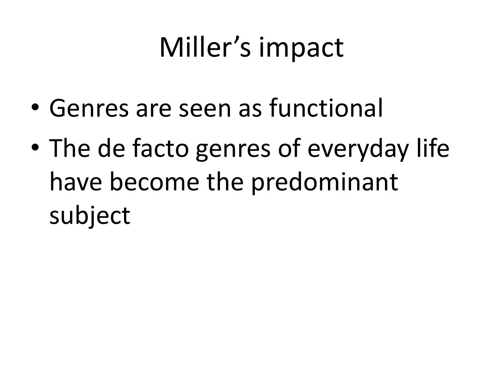# Miller's impact

- Genres are seen as functional
- The de facto genres of everyday life have become the predominant subject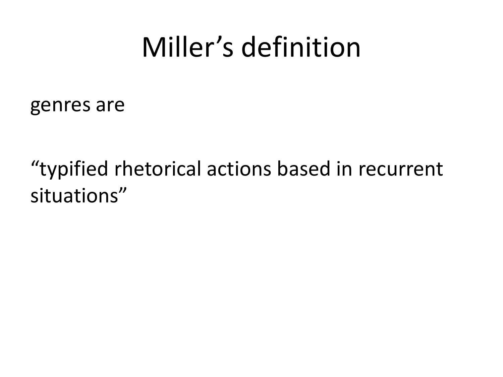## Miller's definition

genres are

## "typified rhetorical actions based in recurrent situations"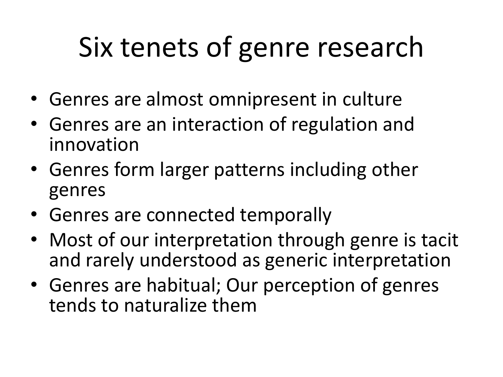# Six tenets of genre research

- Genres are almost omnipresent in culture
- Genres are an interaction of regulation and innovation
- Genres form larger patterns including other genres
- Genres are connected temporally
- Most of our interpretation through genre is tacit and rarely understood as generic interpretation
- Genres are habitual; Our perception of genres tends to naturalize them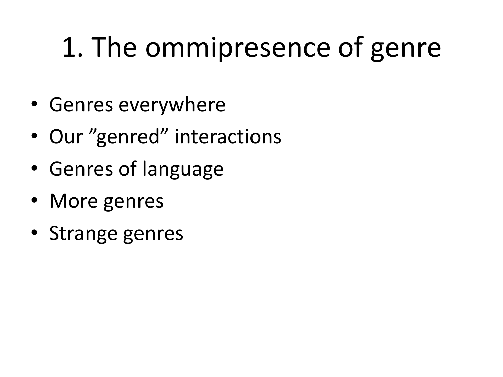# 1. The ommipresence of genre

- Genres everywhere
- Our "genred" interactions
- Genres of language
- More genres
- Strange genres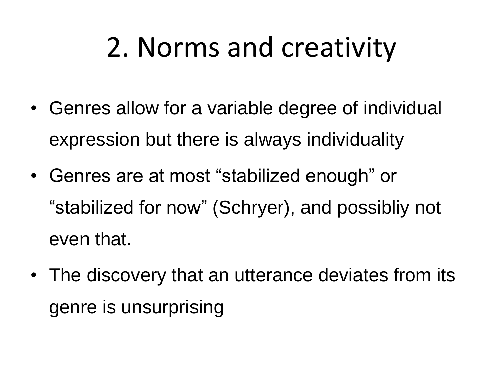# 2. Norms and creativity

- Genres allow for a variable degree of individual expression but there is always individuality
- Genres are at most "stabilized enough" or "stabilized for now" (Schryer), and possibliy not even that.
- The discovery that an utterance deviates from its genre is unsurprising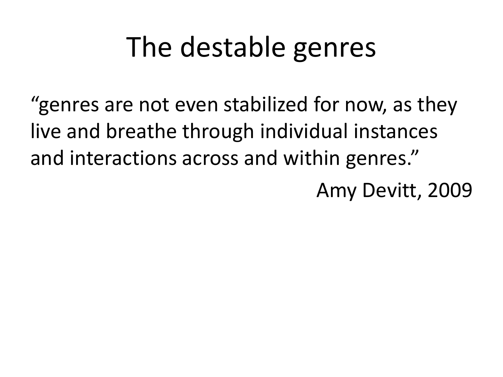## The destable genres

"genres are not even stabilized for now, as they live and breathe through individual instances and interactions across and within genres."

Amy Devitt, 2009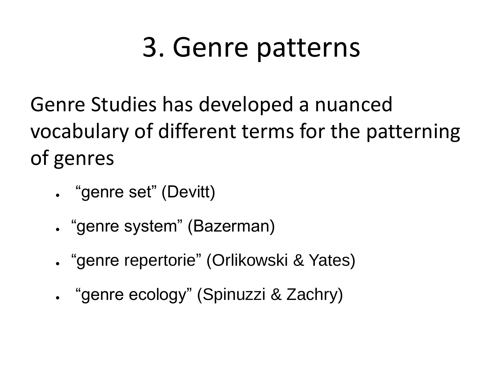## 3. Genre patterns

Genre Studies has developed a nuanced vocabulary of different terms for the patterning of genres

- "genre set" (Devitt)
- "genre system" (Bazerman)
- "genre repertorie" (Orlikowski & Yates)
- "genre ecology" (Spinuzzi & Zachry)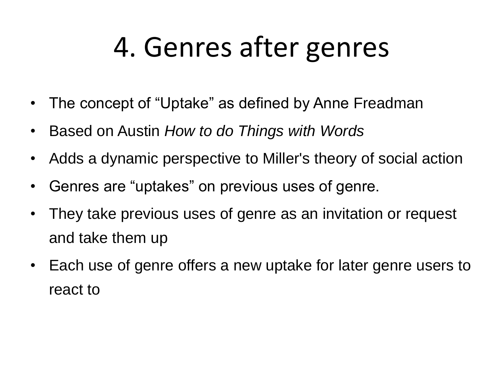## 4. Genres after genres

- The concept of "Uptake" as defined by Anne Freadman
- Based on Austin *How to do Things with Words*
- Adds a dynamic perspective to Miller's theory of social action
- Genres are "uptakes" on previous uses of genre.
- They take previous uses of genre as an invitation or request and take them up
- Each use of genre offers a new uptake for later genre users to react to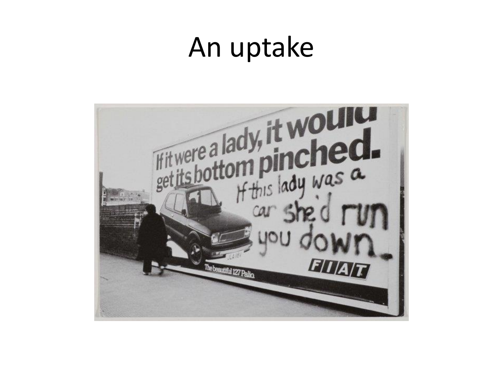## An uptake

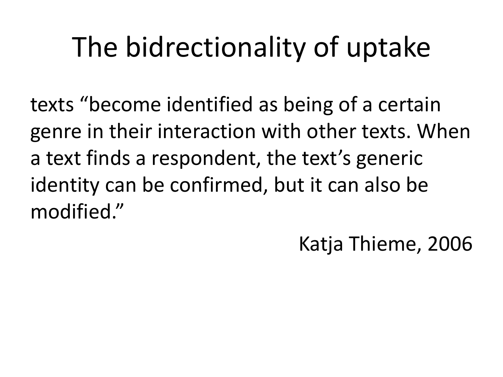# The bidrectionality of uptake

texts "become identified as being of a certain genre in their interaction with other texts. When a text finds a respondent, the text's generic identity can be confirmed, but it can also be modified."

### Katja Thieme, 2006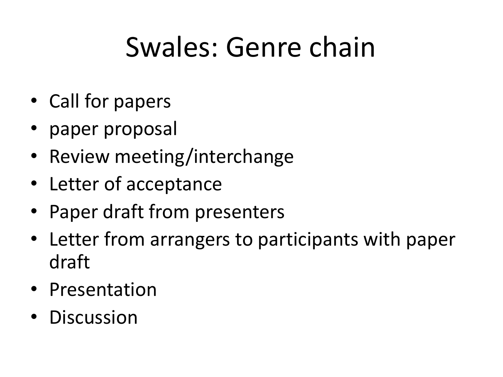## Swales: Genre chain

- Call for papers
- paper proposal
- Review meeting/interchange
- Letter of acceptance
- Paper draft from presenters
- Letter from arrangers to participants with paper draft
- Presentation
- Discussion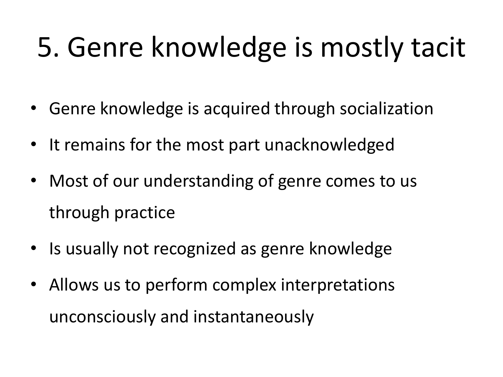# 5. Genre knowledge is mostly tacit

- Genre knowledge is acquired through socialization
- It remains for the most part unacknowledged
- Most of our understanding of genre comes to us through practice
- Is usually not recognized as genre knowledge
- Allows us to perform complex interpretations unconsciously and instantaneously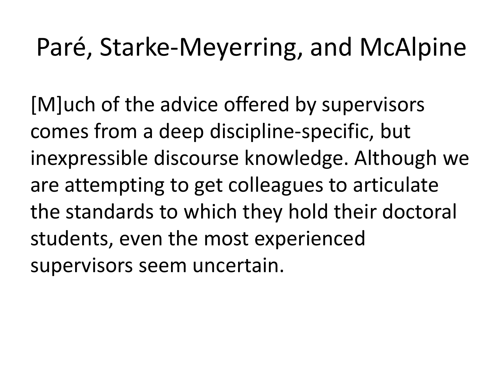## Paré, Starke-Meyerring, and McAlpine

[M]uch of the advice offered by supervisors comes from a deep discipline-specific, but inexpressible discourse knowledge. Although we are attempting to get colleagues to articulate the standards to which they hold their doctoral students, even the most experienced supervisors seem uncertain.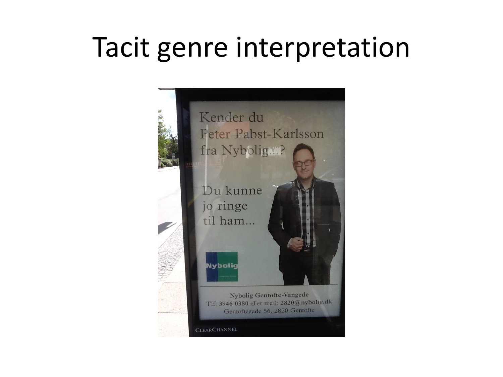## Tacit genre interpretation

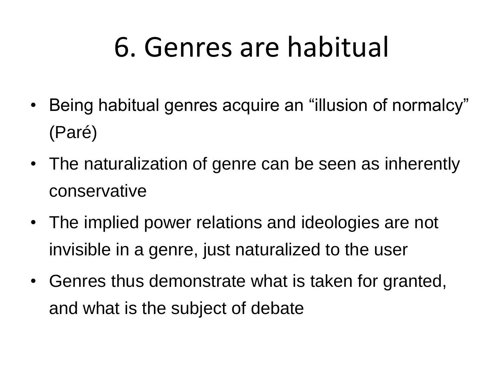## 6. Genres are habitual

- Being habitual genres acquire an "illusion of normalcy" (Paré)
- The naturalization of genre can be seen as inherently conservative
- The implied power relations and ideologies are not invisible in a genre, just naturalized to the user
- Genres thus demonstrate what is taken for granted, and what is the subject of debate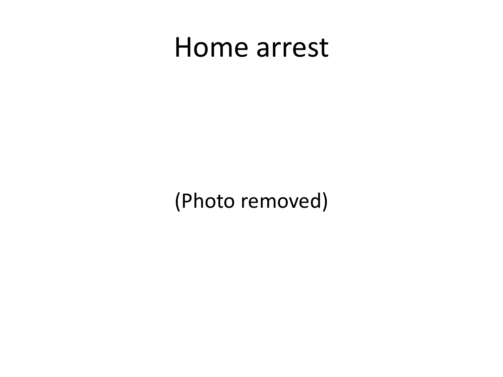## Home arrest

(Photo removed)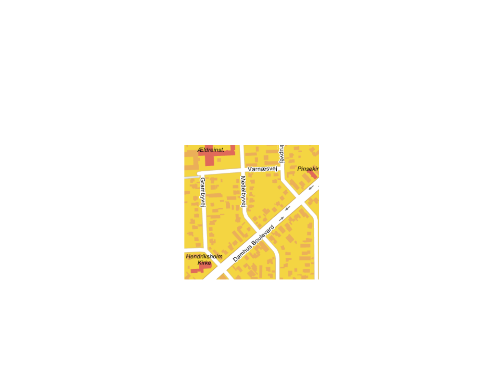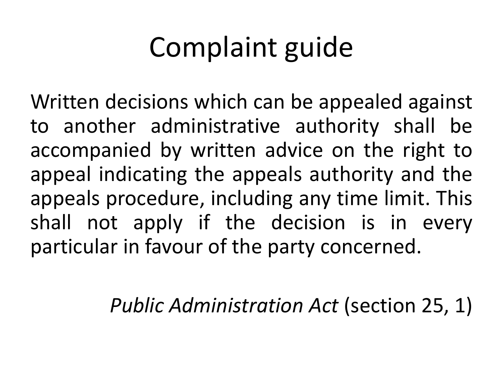# Complaint guide

Written decisions which can be appealed against to another administrative authority shall be accompanied by written advice on the right to appeal indicating the appeals authority and the appeals procedure, including any time limit. This shall not apply if the decision is in every particular in favour of the party concerned.

*Public Administration Act* (section 25, 1)